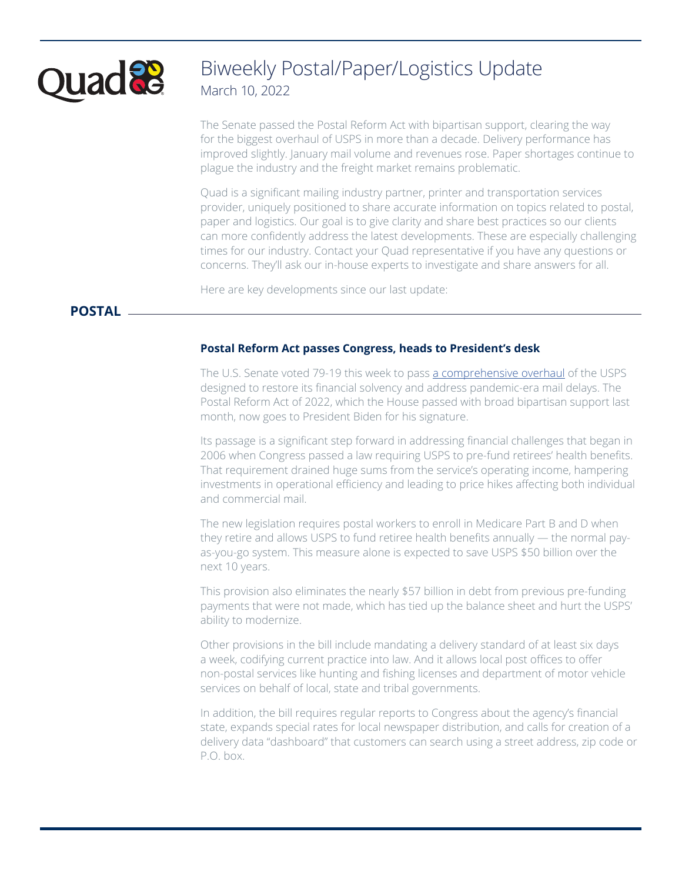

# Biweekly Postal/Paper/Logistics Update March 10, 2022

The Senate passed the Postal Reform Act with bipartisan support, clearing the way for the biggest overhaul of USPS in more than a decade. Delivery performance has improved slightly. January mail volume and revenues rose. Paper shortages continue to plague the industry and the freight market remains problematic.

Quad is a significant mailing industry partner, printer and transportation services provider, uniquely positioned to share accurate information on topics related to postal, paper and logistics. Our goal is to give clarity and share best practices so our clients can more confidently address the latest developments. These are especially challenging times for our industry. Contact your Quad representative if you have any questions or concerns. They'll ask our in-house experts to investigate and share answers for all.

Here are key developments since our last update:

## **POSTAL**

#### **Postal Reform Act passes Congress, heads to President's desk**

The U.S. Senate voted 79-19 this week to pass [a comprehensive overhaul](https://federalnewsnetwork.com/agency-oversight/2022/03/usps-reform-bill-offering-much-needed-reset-on-its-finances-passes-senate/) of the USPS designed to restore its financial solvency and address pandemic-era mail delays. The Postal Reform Act of 2022, which the House passed with broad bipartisan support last month, now goes to President Biden for his signature.

Its passage is a significant step forward in addressing financial challenges that began in 2006 when Congress passed a law requiring USPS to pre-fund retirees' health benefits. That requirement drained huge sums from the service's operating income, hampering investments in operational efficiency and leading to price hikes affecting both individual and commercial mail.

The new legislation requires postal workers to enroll in Medicare Part B and D when they retire and allows USPS to fund retiree health benefits annually — the normal payas-you-go system. This measure alone is expected to save USPS \$50 billion over the next 10 years.

This provision also eliminates the nearly \$57 billion in debt from previous pre-funding payments that were not made, which has tied up the balance sheet and hurt the USPS' ability to modernize.

Other provisions in the bill include mandating a delivery standard of at least six days a week, codifying current practice into law. And it allows local post offices to offer non-postal services like hunting and fishing licenses and department of motor vehicle services on behalf of local, state and tribal governments.

In addition, the bill requires regular reports to Congress about the agency's financial state, expands special rates for local newspaper distribution, and calls for creation of a delivery data "dashboard" that customers can search using a street address, zip code or P.O. box.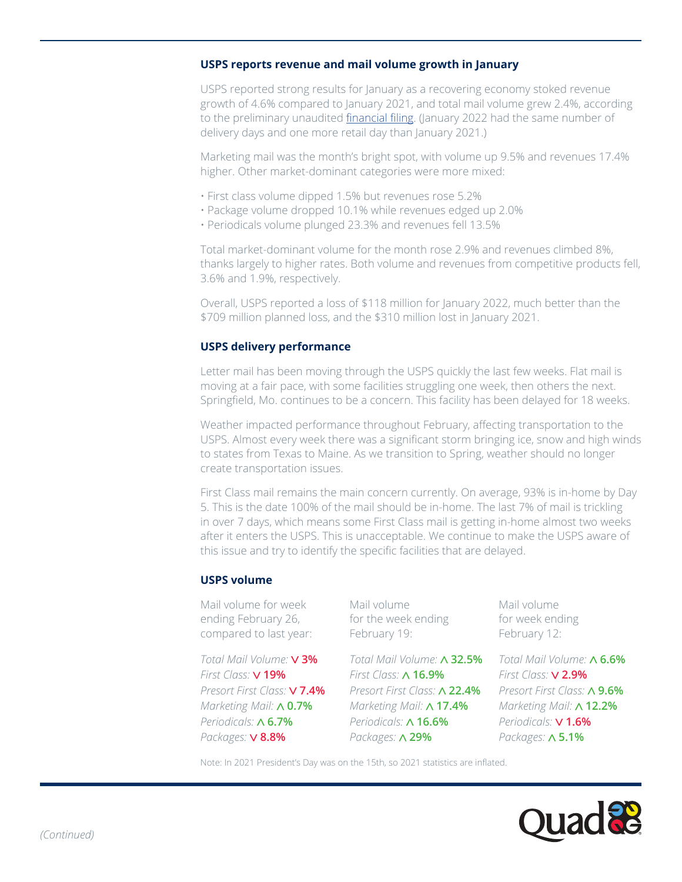#### **USPS reports revenue and mail volume growth in January**

USPS reported strong results for January as a recovering economy stoked revenue growth of 4.6% compared to January 2021, and total mail volume grew 2.4%, according to the preliminary unaudited [financial filing](https://www.prc.gov/docs/120/120979/2022.2.24%20January%20FY2022_Monthly%20Report.pdf). (January 2022 had the same number of delivery days and one more retail day than January 2021.)

Marketing mail was the month's bright spot, with volume up 9.5% and revenues 17.4% higher. Other market-dominant categories were more mixed:

- First class volume dipped 1.5% but revenues rose 5.2%
- Package volume dropped 10.1% while revenues edged up 2.0%
- Periodicals volume plunged 23.3% and revenues fell 13.5%

Total market-dominant volume for the month rose 2.9% and revenues climbed 8%, thanks largely to higher rates. Both volume and revenues from competitive products fell, 3.6% and 1.9%, respectively.

Overall, USPS reported a loss of \$118 million for January 2022, much better than the \$709 million planned loss, and the \$310 million lost in January 2021.

#### **USPS delivery performance**

Letter mail has been moving through the USPS quickly the last few weeks. Flat mail is moving at a fair pace, with some facilities struggling one week, then others the next. Springfield, Mo. continues to be a concern. This facility has been delayed for 18 weeks.

Weather impacted performance throughout February, affecting transportation to the USPS. Almost every week there was a significant storm bringing ice, snow and high winds to states from Texas to Maine. As we transition to Spring, weather should no longer create transportation issues.

First Class mail remains the main concern currently. On average, 93% is in-home by Day 5. This is the date 100% of the mail should be in-home. The last 7% of mail is trickling in over 7 days, which means some First Class mail is getting in-home almost two weeks after it enters the USPS. This is unacceptable. We continue to make the USPS aware of this issue and try to identify the specific facilities that are delayed.

#### **USPS volume**

Mail volume for week ending February 26, compared to last year:

*Total Mail Volume:* **3%** *First Class:* **19%** *Presort First Class:* **7.4%** *Marketing Mail:* **0.7%** *Periodicals:* **6.7%** *Packages:* **8.8%**

Mail volume for the week ending February 19:

*Total Mail Volume:* **32.5%** *First Class:* **16.9%** *Presort First Class:* **22.4%** *Marketing Mail:* **17.4%** *Periodicals:* **16.6%** *Packages:* **29%**

Mail volume for week ending February 12:

*Total Mail Volume:* **6.6%** *First Class:* **2.9%** *Presort First Class:* **9.6%** *Marketing Mail:* **12.2%** *Periodicals:* **1.6%** *Packages:* **5.1%**

Note: In 2021 President's Day was on the 15th, so 2021 statistics are inflated.